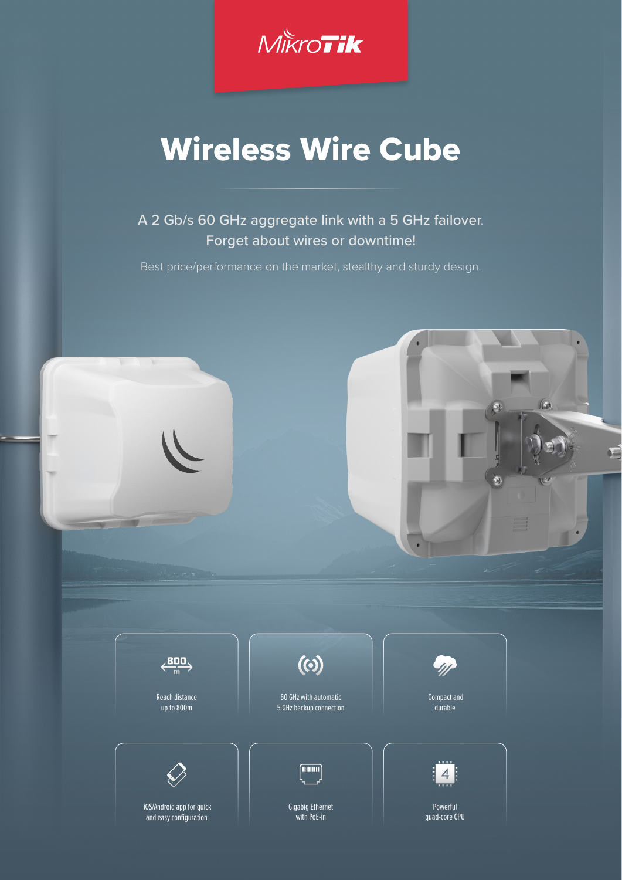

# Wireless Wire Cube

A 2 Gb/s 60 GHz aggregate link with a 5 GHz failover. Forget about wires or downtime!

Best price/performance on the market, stealthy and sturdy design.

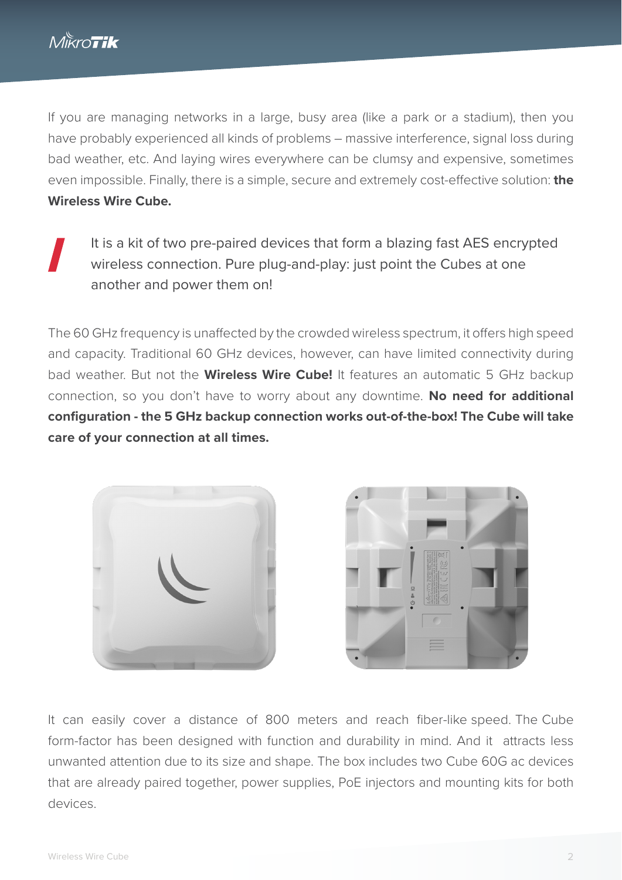If you are managing networks in a large, busy area (like a park or a stadium), then you have probably experienced all kinds of problems – massive interference, signal loss during bad weather, etc. And laying wires everywhere can be clumsy and expensive, sometimes even impossible. Finally, there is a simple, secure and extremely cost-effective solution: **the Wireless Wire Cube.**

It is a kit of two pre-paired devices that form a blazing fast AES encrypted wireless connection. Pure plug-and-play: just point the Cubes at one another and power them on!

The 60 GHz frequency is unaffected by the crowded wireless spectrum, it offers high speed and capacity. Traditional 60 GHz devices, however, can have limited connectivity during bad weather. But not the **Wireless Wire Cube!** It features an automatic 5 GHz backup connection, so you don't have to worry about any downtime. **No need for additional configuration - the 5 GHz backup connection works out-of-the-box! The Cube will take care of your connection at all times.** 





It can easily cover a distance of 800 meters and reach fiber-like speed. The Сube form-factor has been designed with function and durability in mind. And it attracts less unwanted attention due to its size and shape. The box includes two Cube 60G ac devices that are already paired together, power supplies, PoE injectors and mounting kits for both devices.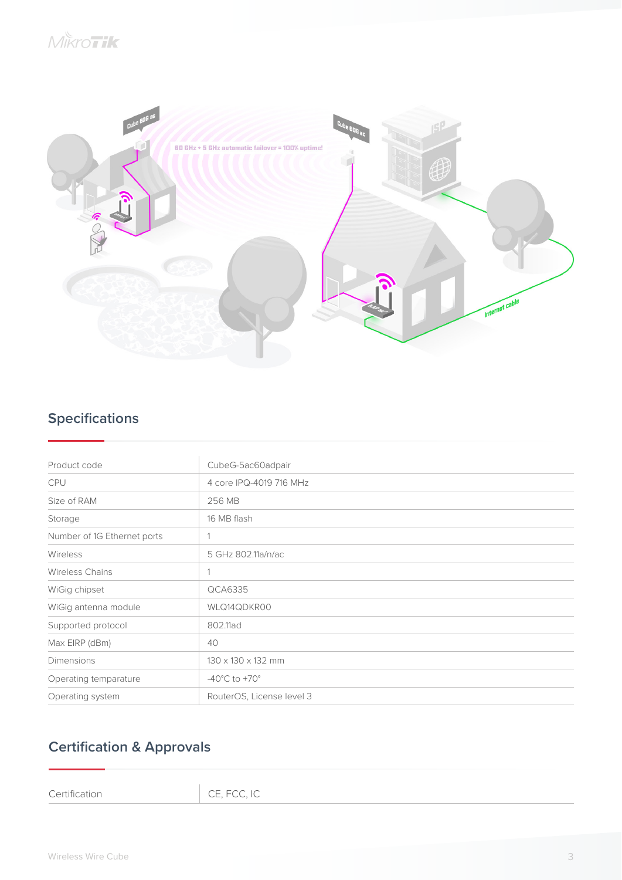

## **Specifications**

| Product code                | CubeG-5ac60adpair                  |
|-----------------------------|------------------------------------|
| <b>CPU</b>                  | 4 core IPQ-4019 716 MHz            |
| Size of RAM                 | 256 MB                             |
| Storage                     | 16 MB flash                        |
| Number of 1G Ethernet ports |                                    |
| Wireless                    | 5 GHz 802.11a/n/ac                 |
| <b>Wireless Chains</b>      |                                    |
| WiGig chipset               | QCA6335                            |
| WiGig antenna module        | WLQ14QDKR00                        |
| Supported protocol          | 802.11ad                           |
| Max EIRP (dBm)              | 40                                 |
| Dimensions                  | $130 \times 130 \times 132$ mm     |
| Operating temparature       | -40 $^{\circ}$ C to +70 $^{\circ}$ |
| Operating system            | RouterOS, License level 3          |

## **Certification & Approvals**

Certification CE, FCC, IC